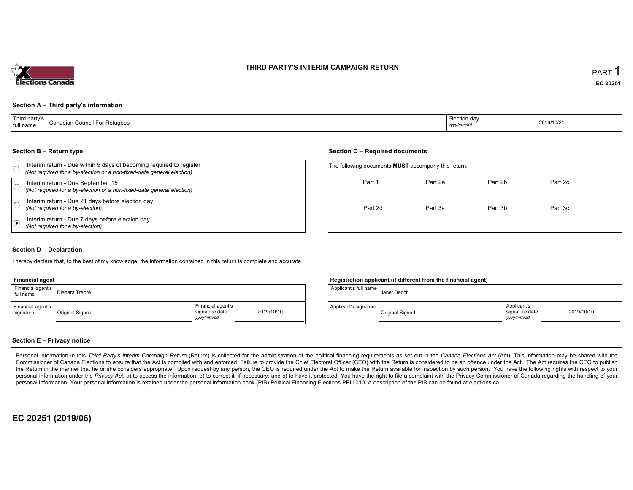# THIRD PARTY'S INTERIM CAMPAIGN RETURN



## Section <sup>A</sup> – Third party's information

| Third party's | Canadian Council For Refugees | l Election dav | 2019/10/21 |
|---------------|-------------------------------|----------------|------------|
| full name     |                               | yyyy/mm/dd     |            |

#### Section <sup>B</sup> – Return type

| Section B – Return type                                                                                                                      | Section C – Required documents                             |         |         |         |  |  |
|----------------------------------------------------------------------------------------------------------------------------------------------|------------------------------------------------------------|---------|---------|---------|--|--|
| Interim return - Due within 5 days of becoming required to register<br>(Not required for a by-election or a non-fixed-date general election) | The following documents <b>MUST</b> accompany this return: |         |         |         |  |  |
| Interim return - Due September 15<br>(Not required for a by-election or a non-fixed-date general election)                                   | Part 1                                                     | Part 2a | Part 2b | Part 2c |  |  |
| Interim return - Due 21 days before election day<br>(Not required for a by-election)                                                         | Part 2d                                                    | Part 3a | Part 3b | Part 3c |  |  |
| Interim return - Due 7 days before election day<br>(Not required for a by-election)                                                          |                                                            |         |         |         |  |  |

#### Section <sup>D</sup> – Declaration

hereby declare that, to the best of my knowledge, the information contained in this return is complete and accurate.

#### Financial agent

| Financial agent's<br>full name | Diahara Traore  |                                                   |            | Applicant's full name | Janet Dench   |
|--------------------------------|-----------------|---------------------------------------------------|------------|-----------------------|---------------|
| Financial agent's<br>signature | Original Signed | Financial agent's<br>signature date<br>yyyy/mm/dd | 2019/10/10 | Applicant's signature | Original Sigr |

## Registration applicant (if different from the financial agent)

|                                                   |            | Applicant's full name | Janet Dench     |                                             |            |
|---------------------------------------------------|------------|-----------------------|-----------------|---------------------------------------------|------------|
| Financial agent's<br>signature date<br>yyyy/mm/dd | 2019/10/10 | Applicant's signature | Original Signed | Applicant's<br>signature date<br>yyyy/mm/dd | 2019/10/10 |

## Section <sup>E</sup> – Privacy notice

Personal information in this Third Party's Interim Campaign Return (Return) is collected for the administration of the political financing requirements as set out in the Canada Elections Act (Act). This information may be Commissioner of Canada Elections to ensure that the Act is complied with and enforced. Failure to provide the Chief Electoral Officer (CEO) with the Return is considered to be an offence under the Act. The Act requires the the Return in the manner that he or she considers appropriate. Upon request by any person, the CEO is required under the Act to make the Return available for inspection by such person. You have the capacity with respect to personal information under the Privacy Act. a) to access the information, b) to correct it, if necessary; and c) to have it protected. You have the right to file a complaint with the Privacy Commissioner of Canada regardin personal information. Your personal information is retained under the personal information bank (PIB) Political Financing Elections PPU 010. <sup>A</sup> description of the PIB can be found at elections.ca.

# EC <sup>20251</sup> (2019/06)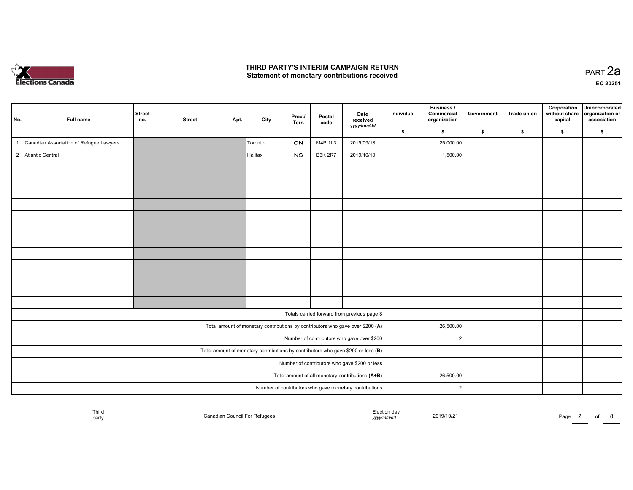

#### THIRD PARTY'S INTERIM CAMPAIGN RETURN Statement of monetary contributions received

| No.          | Full name                               | Street<br>no. | <b>Street</b> | Apt. | City    | Prov./<br>Terr. | Postal<br>code | Date<br>received<br>yyyy/mm/dd                                                    | Individual | <b>Business /</b><br>Commercial<br>organization | Government | <b>Trade union</b> | Corporation<br>without share<br>capital | Unincorporated<br>organization or<br>association |
|--------------|-----------------------------------------|---------------|---------------|------|---------|-----------------|----------------|-----------------------------------------------------------------------------------|------------|-------------------------------------------------|------------|--------------------|-----------------------------------------|--------------------------------------------------|
|              |                                         |               |               |      |         |                 |                |                                                                                   | - \$       | \$                                              | - \$       | \$                 | \$                                      | \$                                               |
| $\mathbf{1}$ | Canadian Association of Refugee Lawyers |               |               |      | Toronto | ON              | M4P 1L3        | 2019/09/18                                                                        |            | 25,000.00                                       |            |                    |                                         |                                                  |
|              | 2 Atlantic Central                      |               |               |      | Halifax | <b>NS</b>       | <b>B3K 2R7</b> | 2019/10/10                                                                        |            | 1,500.00                                        |            |                    |                                         |                                                  |
|              |                                         |               |               |      |         |                 |                |                                                                                   |            |                                                 |            |                    |                                         |                                                  |
|              |                                         |               |               |      |         |                 |                |                                                                                   |            |                                                 |            |                    |                                         |                                                  |
|              |                                         |               |               |      |         |                 |                |                                                                                   |            |                                                 |            |                    |                                         |                                                  |
|              |                                         |               |               |      |         |                 |                |                                                                                   |            |                                                 |            |                    |                                         |                                                  |
|              |                                         |               |               |      |         |                 |                |                                                                                   |            |                                                 |            |                    |                                         |                                                  |
|              |                                         |               |               |      |         |                 |                |                                                                                   |            |                                                 |            |                    |                                         |                                                  |
|              |                                         |               |               |      |         |                 |                |                                                                                   |            |                                                 |            |                    |                                         |                                                  |
|              |                                         |               |               |      |         |                 |                |                                                                                   |            |                                                 |            |                    |                                         |                                                  |
|              |                                         |               |               |      |         |                 |                |                                                                                   |            |                                                 |            |                    |                                         |                                                  |
|              |                                         |               |               |      |         |                 |                |                                                                                   |            |                                                 |            |                    |                                         |                                                  |
|              |                                         |               |               |      |         |                 |                |                                                                                   |            |                                                 |            |                    |                                         |                                                  |
|              |                                         |               |               |      |         |                 |                |                                                                                   |            |                                                 |            |                    |                                         |                                                  |
|              |                                         |               |               |      |         |                 |                | Totals carried forward from previous page \$                                      |            |                                                 |            |                    |                                         |                                                  |
|              |                                         |               |               |      |         |                 |                | Total amount of monetary contributions by contributors who gave over \$200 (A)    |            | 26,500.00                                       |            |                    |                                         |                                                  |
|              |                                         |               |               |      |         |                 |                | Number of contributors who gave over \$200                                        |            | $\overline{2}$                                  |            |                    |                                         |                                                  |
|              |                                         |               |               |      |         |                 |                | Total amount of monetary contributions by contributors who gave \$200 or less (B) |            |                                                 |            |                    |                                         |                                                  |
|              |                                         |               |               |      |         |                 |                | Number of contributors who gave \$200 or less                                     |            |                                                 |            |                    |                                         |                                                  |
|              |                                         |               |               |      |         |                 |                | Total amount of all monetary contributions (A+B)                                  |            | 26,500.00                                       |            |                    |                                         |                                                  |
|              |                                         |               |               |      |         |                 |                | Number of contributors who gave monetary contributions                            |            | C                                               |            |                    |                                         |                                                  |

| Third<br>יה י<br>2019/10/2<br>For Refugees<br>. ≏anadian Council Fo<br>Pagu<br>part<br>уууулттлаа |  |  |
|---------------------------------------------------------------------------------------------------|--|--|
|---------------------------------------------------------------------------------------------------|--|--|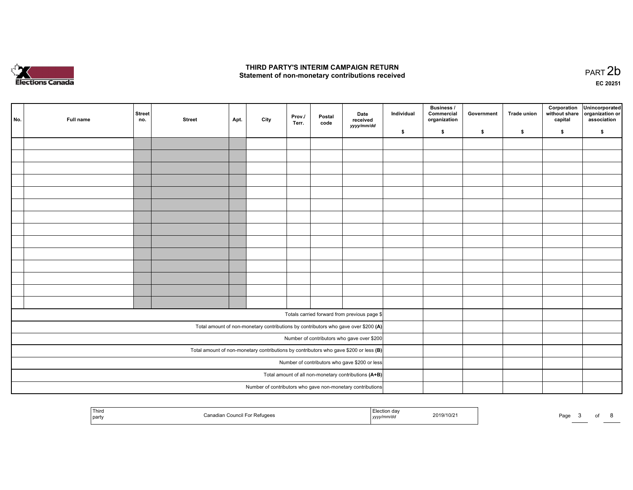

#### THIRD PARTY'S INTERIM CAMPAIGN RETURN Statement of non-monetary contributions received

 PART 2bEC <sup>20251</sup>

| No. | Full name | <b>Street</b><br>no. | <b>Street</b> | Apt. | City | Prov./<br>Terr. | Postal<br>code | Date<br>received<br>yyyy/mm/dd                                                          | Individual | <b>Business /</b><br>Commercial<br>organization | Government | <b>Trade union</b> | Corporation<br>capital | Unincorporated<br>without share organization or<br>association |
|-----|-----------|----------------------|---------------|------|------|-----------------|----------------|-----------------------------------------------------------------------------------------|------------|-------------------------------------------------|------------|--------------------|------------------------|----------------------------------------------------------------|
|     |           |                      |               |      |      |                 |                |                                                                                         | \$         | \$                                              | \$         | \$                 | \$                     | \$                                                             |
|     |           |                      |               |      |      |                 |                |                                                                                         |            |                                                 |            |                    |                        |                                                                |
|     |           |                      |               |      |      |                 |                |                                                                                         |            |                                                 |            |                    |                        |                                                                |
|     |           |                      |               |      |      |                 |                |                                                                                         |            |                                                 |            |                    |                        |                                                                |
|     |           |                      |               |      |      |                 |                |                                                                                         |            |                                                 |            |                    |                        |                                                                |
|     |           |                      |               |      |      |                 |                |                                                                                         |            |                                                 |            |                    |                        |                                                                |
|     |           |                      |               |      |      |                 |                |                                                                                         |            |                                                 |            |                    |                        |                                                                |
|     |           |                      |               |      |      |                 |                |                                                                                         |            |                                                 |            |                    |                        |                                                                |
|     |           |                      |               |      |      |                 |                |                                                                                         |            |                                                 |            |                    |                        |                                                                |
|     |           |                      |               |      |      |                 |                |                                                                                         |            |                                                 |            |                    |                        |                                                                |
|     |           |                      |               |      |      |                 |                |                                                                                         |            |                                                 |            |                    |                        |                                                                |
|     |           |                      |               |      |      |                 |                |                                                                                         |            |                                                 |            |                    |                        |                                                                |
|     |           |                      |               |      |      |                 |                |                                                                                         |            |                                                 |            |                    |                        |                                                                |
|     |           |                      |               |      |      |                 |                |                                                                                         |            |                                                 |            |                    |                        |                                                                |
|     |           |                      |               |      |      |                 |                |                                                                                         |            |                                                 |            |                    |                        |                                                                |
|     |           |                      |               |      |      |                 |                | Totals carried forward from previous page \$                                            |            |                                                 |            |                    |                        |                                                                |
|     |           |                      |               |      |      |                 |                | Total amount of non-monetary contributions by contributors who gave over \$200 (A)      |            |                                                 |            |                    |                        |                                                                |
|     |           |                      |               |      |      |                 |                | Number of contributors who gave over \$200                                              |            |                                                 |            |                    |                        |                                                                |
|     |           |                      |               |      |      |                 |                | Total amount of non-monetary contributions by contributors who gave \$200 or less $(B)$ |            |                                                 |            |                    |                        |                                                                |
|     |           |                      |               |      |      |                 |                | Number of contributors who gave \$200 or less                                           |            |                                                 |            |                    |                        |                                                                |
|     |           |                      |               |      |      |                 |                | Total amount of all non-monetary contributions (A+B)                                    |            |                                                 |            |                    |                        |                                                                |
|     |           |                      |               |      |      |                 |                | Number of contributors who gave non-monetary contributions                              |            |                                                 |            |                    |                        |                                                                |

| Third<br>on dou<br>2019/10/2<br>For Refugees<br>⊢Council F<br>  party<br>mm/ac<br>, <i>yyyy</i><br><u>the contract of the contract of the contract of the contract of the contract of the contract of the contract of the contract of the contract of the contract of the contract of the contract of the contract of the contract </u><br>. | Page |
|----------------------------------------------------------------------------------------------------------------------------------------------------------------------------------------------------------------------------------------------------------------------------------------------------------------------------------------------|------|
|----------------------------------------------------------------------------------------------------------------------------------------------------------------------------------------------------------------------------------------------------------------------------------------------------------------------------------------------|------|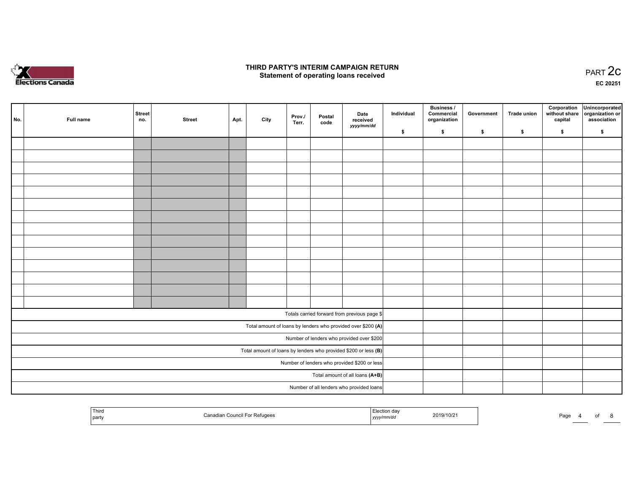

#### THIRD PARTY'S INTERIM CAMPAIGN RETURN  $\frac{1}{2}$  of PART  $\frac{2}{3}$  PART  $\frac{2}{3}$

EC <sup>20251</sup>

| No. | Full name | <b>Street</b><br>no. | <b>Street</b> | Apt. | City | Prov./<br>Terr. | Postal<br>code | Date<br>received<br>yyyy/mm/dd                                  | Individual | <b>Business /</b><br>Commercial<br>organization | Government | <b>Trade union</b> | Corporation<br>capital | Unincorporated<br>without share organization or<br>association |
|-----|-----------|----------------------|---------------|------|------|-----------------|----------------|-----------------------------------------------------------------|------------|-------------------------------------------------|------------|--------------------|------------------------|----------------------------------------------------------------|
|     |           |                      |               |      |      |                 |                |                                                                 | \$         | \$                                              | \$         | \$                 | \$                     | \$                                                             |
|     |           |                      |               |      |      |                 |                |                                                                 |            |                                                 |            |                    |                        |                                                                |
|     |           |                      |               |      |      |                 |                |                                                                 |            |                                                 |            |                    |                        |                                                                |
|     |           |                      |               |      |      |                 |                |                                                                 |            |                                                 |            |                    |                        |                                                                |
|     |           |                      |               |      |      |                 |                |                                                                 |            |                                                 |            |                    |                        |                                                                |
|     |           |                      |               |      |      |                 |                |                                                                 |            |                                                 |            |                    |                        |                                                                |
|     |           |                      |               |      |      |                 |                |                                                                 |            |                                                 |            |                    |                        |                                                                |
|     |           |                      |               |      |      |                 |                |                                                                 |            |                                                 |            |                    |                        |                                                                |
|     |           |                      |               |      |      |                 |                |                                                                 |            |                                                 |            |                    |                        |                                                                |
|     |           |                      |               |      |      |                 |                |                                                                 |            |                                                 |            |                    |                        |                                                                |
|     |           |                      |               |      |      |                 |                |                                                                 |            |                                                 |            |                    |                        |                                                                |
|     |           |                      |               |      |      |                 |                |                                                                 |            |                                                 |            |                    |                        |                                                                |
|     |           |                      |               |      |      |                 |                |                                                                 |            |                                                 |            |                    |                        |                                                                |
|     |           |                      |               |      |      |                 |                |                                                                 |            |                                                 |            |                    |                        |                                                                |
|     |           |                      |               |      |      |                 |                |                                                                 |            |                                                 |            |                    |                        |                                                                |
|     |           |                      |               |      |      |                 |                | Totals carried forward from previous page \$                    |            |                                                 |            |                    |                        |                                                                |
|     |           |                      |               |      |      |                 |                | Total amount of loans by lenders who provided over \$200 (A)    |            |                                                 |            |                    |                        |                                                                |
|     |           |                      |               |      |      |                 |                | Number of lenders who provided over \$200                       |            |                                                 |            |                    |                        |                                                                |
|     |           |                      |               |      |      |                 |                | Total amount of loans by lenders who provided \$200 or less (B) |            |                                                 |            |                    |                        |                                                                |
|     |           |                      |               |      |      |                 |                | Number of lenders who provided \$200 or less                    |            |                                                 |            |                    |                        |                                                                |
|     |           |                      |               |      |      |                 |                | Total amount of all loans (A+B)                                 |            |                                                 |            |                    |                        |                                                                |
|     |           |                      |               |      |      |                 |                | Number of all lenders who provided loans                        |            |                                                 |            |                    |                        |                                                                |
|     |           |                      |               |      |      |                 |                |                                                                 |            |                                                 |            |                    |                        |                                                                |

| Third<br>Canadian Council For Refugees<br>  party | lection day.<br>2019/10/21<br>yyyy/mm/dd | Pagr |
|---------------------------------------------------|------------------------------------------|------|
|---------------------------------------------------|------------------------------------------|------|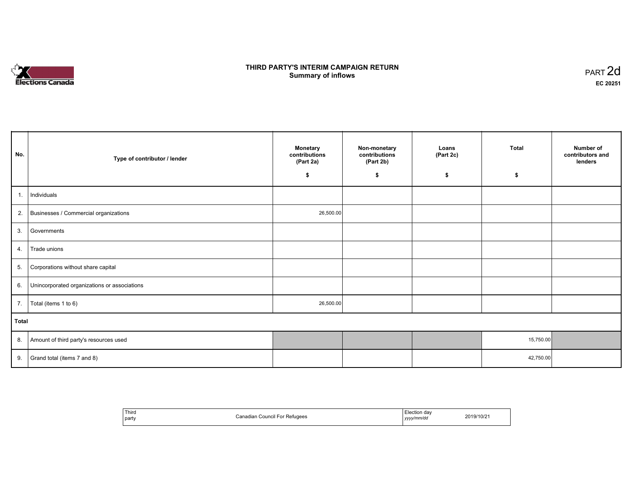# **Elections Canada**

#### THIRD PARTY'S INTERIM CAMPAIGN RETURN<br>Cummery of inflows **Summary of inflows**  $\frac{1}{2}$  of inflows  $\frac{1}{2}$  part 2d

| No.   | Type of contributor / lender                    | <b>Monetary</b><br>contributions<br>(Part 2a)<br>\$ | Non-monetary<br>contributions<br>(Part 2b)<br>\$ | Loans<br>(Part 2c)<br>\$ | Total<br>\$ | Number of<br>contributors and<br>lenders |
|-------|-------------------------------------------------|-----------------------------------------------------|--------------------------------------------------|--------------------------|-------------|------------------------------------------|
| 1.    | Individuals                                     |                                                     |                                                  |                          |             |                                          |
|       | 2. Businesses / Commercial organizations        | 26,500.00                                           |                                                  |                          |             |                                          |
| 3.    | Governments                                     |                                                     |                                                  |                          |             |                                          |
| 4.    | Trade unions                                    |                                                     |                                                  |                          |             |                                          |
| 5.    | Corporations without share capital              |                                                     |                                                  |                          |             |                                          |
|       | 6. Unincorporated organizations or associations |                                                     |                                                  |                          |             |                                          |
|       | 7.   Total (items 1 to 6)                       | 26,500.00                                           |                                                  |                          |             |                                          |
| Total |                                                 |                                                     |                                                  |                          |             |                                          |
|       | 8. Amount of third party's resources used       |                                                     |                                                  |                          | 15,750.00   |                                          |
| 9.    | Grand total (items 7 and 8)                     |                                                     |                                                  |                          | 42,750.00   |                                          |

| ' Third<br>Canadian Council For Refugees<br>party |  | Election dav<br>yyyy/mm/dd<br>. | 2019/10/21 |
|---------------------------------------------------|--|---------------------------------|------------|
|---------------------------------------------------|--|---------------------------------|------------|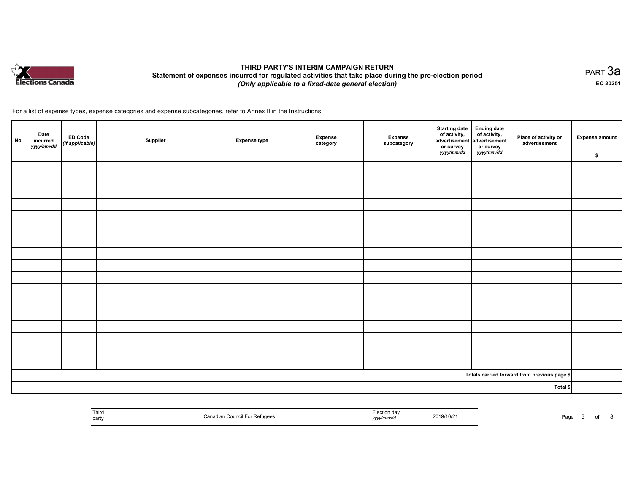

#### THIRD PARTY'S INTERIM CAMPAIGN RETURN Statement of expenses incurred for regulated activities that take place during the pre-election period (Only applicable to <sup>a</sup> fixed-date general election)

равт $\,3$ а EC <sup>20251</sup>

For <sup>a</sup> list of expense types, expense categories and expense subcategories, refer to Annex II in the Instructions.

| No. | Date<br>incurred<br>yyyy/mm/dd | ED Code<br>(if applicable) | Supplier | <b>Expense type</b> | Expense<br>category | Expense<br>subcategory | Starting date<br>of activity,<br>advertisement<br>or survey<br>yyyy/mm/dd | Ending date<br>of activity,<br>advertisement<br>or survey<br>yyyy/mm/dd | Place of activity or<br>advertisement        | <b>Expense amount</b><br>\$ |
|-----|--------------------------------|----------------------------|----------|---------------------|---------------------|------------------------|---------------------------------------------------------------------------|-------------------------------------------------------------------------|----------------------------------------------|-----------------------------|
|     |                                |                            |          |                     |                     |                        |                                                                           |                                                                         |                                              |                             |
|     |                                |                            |          |                     |                     |                        |                                                                           |                                                                         |                                              |                             |
|     |                                |                            |          |                     |                     |                        |                                                                           |                                                                         |                                              |                             |
|     |                                |                            |          |                     |                     |                        |                                                                           |                                                                         |                                              |                             |
|     |                                |                            |          |                     |                     |                        |                                                                           |                                                                         |                                              |                             |
|     |                                |                            |          |                     |                     |                        |                                                                           |                                                                         |                                              |                             |
|     |                                |                            |          |                     |                     |                        |                                                                           |                                                                         |                                              |                             |
|     |                                |                            |          |                     |                     |                        |                                                                           |                                                                         |                                              |                             |
|     |                                |                            |          |                     |                     |                        |                                                                           |                                                                         |                                              |                             |
|     |                                |                            |          |                     |                     |                        |                                                                           |                                                                         |                                              |                             |
|     |                                |                            |          |                     |                     |                        |                                                                           |                                                                         |                                              |                             |
|     |                                |                            |          |                     |                     |                        |                                                                           |                                                                         |                                              |                             |
|     |                                |                            |          |                     |                     |                        |                                                                           |                                                                         |                                              |                             |
|     |                                |                            |          |                     |                     |                        |                                                                           |                                                                         |                                              |                             |
|     |                                |                            |          |                     |                     |                        |                                                                           |                                                                         |                                              |                             |
|     |                                |                            |          |                     |                     |                        |                                                                           |                                                                         |                                              |                             |
|     |                                |                            |          |                     |                     |                        |                                                                           |                                                                         |                                              |                             |
|     |                                |                            |          |                     |                     |                        |                                                                           |                                                                         | Totals carried forward from previous page \$ |                             |
|     |                                |                            |          |                     |                     |                        |                                                                           |                                                                         | Total \$                                     |                             |

| Third<br>party | Canadian Council For Refugees<br>$\sim$ $\sim$ | ∵ction da∿<br>yyyy/mm/dd | 2019/10/21 | Page |  |  |
|----------------|------------------------------------------------|--------------------------|------------|------|--|--|
|                |                                                |                          |            |      |  |  |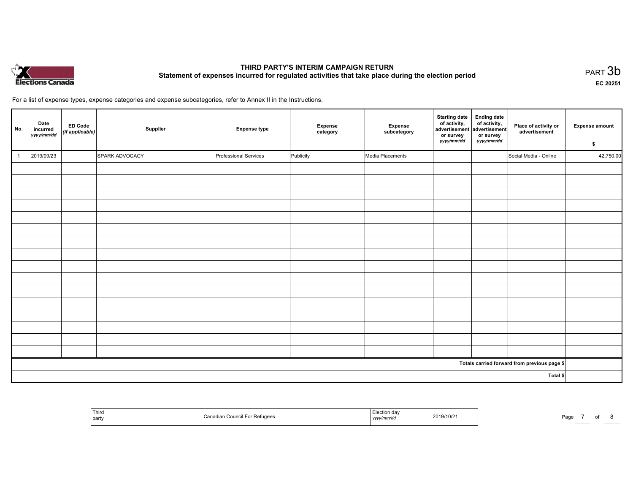

#### THIRD PARTY'S INTERIM CAMPAIGN RETURN THIRD PARTT'S INTERIM CAMPAIGN RETURN<br>Statement of expenses incurred for regulated activities that take place during the election period PART 3b

EC <sup>20251</sup>

For <sup>a</sup> list of expense types, expense categories and expense subcategories, refer to Annex II in the Instructions.

| No.      | Date<br>incurred<br>yyyy/mm/dd | <b>ED Code</b><br>(if applicable) | Supplier       | <b>Expense type</b>   | <b>Expense</b><br>category | Expense<br>subcategory | <b>Starting date</b><br>of activity,<br>advertisement advertisement<br>or survey<br>yyyy/mm/dd | Ending date<br>of activity,<br>or survey<br><i>yyyy/mm/dd</i> | Place of activity or<br>advertisement        | <b>Expense amount</b><br>\$ |
|----------|--------------------------------|-----------------------------------|----------------|-----------------------|----------------------------|------------------------|------------------------------------------------------------------------------------------------|---------------------------------------------------------------|----------------------------------------------|-----------------------------|
|          | 2019/09/23                     |                                   | SPARK ADVOCACY | Professional Services | Publicity                  | Media Placements       |                                                                                                |                                                               | Social Media - Online                        | 42,750.00                   |
|          |                                |                                   |                |                       |                            |                        |                                                                                                |                                                               |                                              |                             |
|          |                                |                                   |                |                       |                            |                        |                                                                                                |                                                               |                                              |                             |
|          |                                |                                   |                |                       |                            |                        |                                                                                                |                                                               |                                              |                             |
|          |                                |                                   |                |                       |                            |                        |                                                                                                |                                                               |                                              |                             |
|          |                                |                                   |                |                       |                            |                        |                                                                                                |                                                               |                                              |                             |
|          |                                |                                   |                |                       |                            |                        |                                                                                                |                                                               |                                              |                             |
|          |                                |                                   |                |                       |                            |                        |                                                                                                |                                                               |                                              |                             |
|          |                                |                                   |                |                       |                            |                        |                                                                                                |                                                               |                                              |                             |
|          |                                |                                   |                |                       |                            |                        |                                                                                                |                                                               |                                              |                             |
|          |                                |                                   |                |                       |                            |                        |                                                                                                |                                                               |                                              |                             |
|          |                                |                                   |                |                       |                            |                        |                                                                                                |                                                               |                                              |                             |
|          |                                |                                   |                |                       |                            |                        |                                                                                                |                                                               |                                              |                             |
|          |                                |                                   |                |                       |                            |                        |                                                                                                |                                                               |                                              |                             |
|          |                                |                                   |                |                       |                            |                        |                                                                                                |                                                               |                                              |                             |
|          |                                |                                   |                |                       |                            |                        |                                                                                                |                                                               |                                              |                             |
|          |                                |                                   |                |                       |                            |                        |                                                                                                |                                                               |                                              |                             |
|          |                                |                                   |                |                       |                            |                        |                                                                                                |                                                               | Totals carried forward from previous page \$ |                             |
| Total \$ |                                |                                   |                |                       |                            |                        |                                                                                                |                                                               |                                              |                             |

| ' Third<br>party | <sup>*</sup> Refugees<br>Canadian Council Fo | Election day<br>2019/10/21<br>yyyy/mm/dd | Page |
|------------------|----------------------------------------------|------------------------------------------|------|
|------------------|----------------------------------------------|------------------------------------------|------|